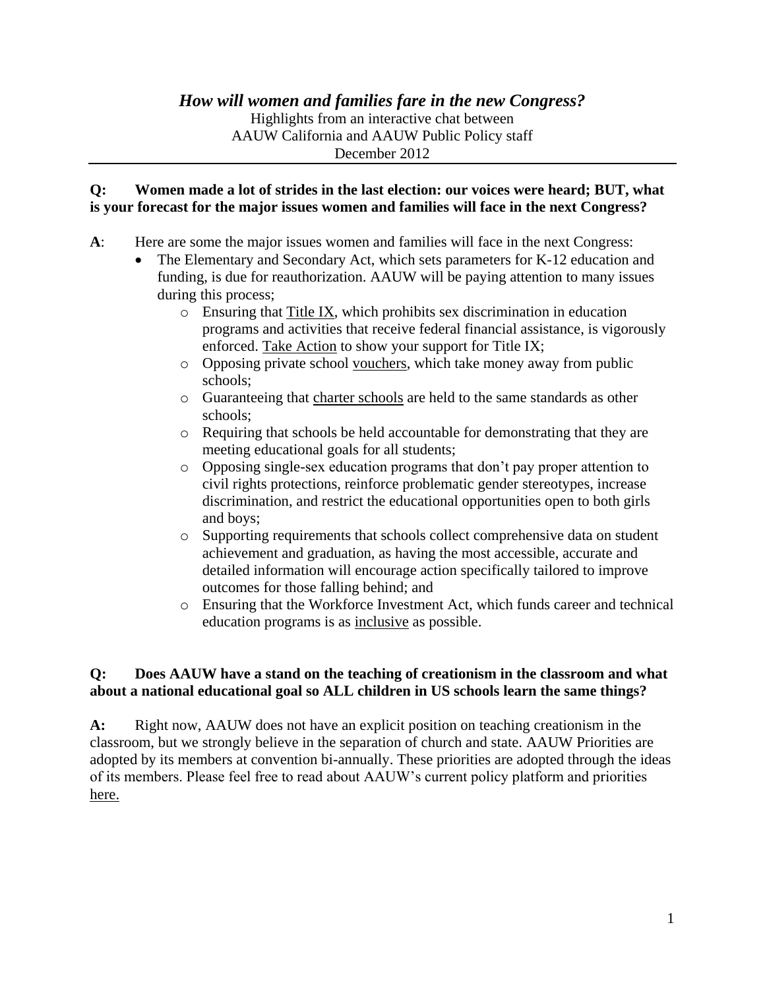# *How will women and families fare in the new Congress?*

Highlights from an interactive chat between AAUW California and AAUW Public Policy staff December 2012

#### **Q: Women made a lot of strides in the last election: our voices were heard; BUT, what is your forecast for the major issues women and families will face in the next Congress?**

- **A**: Here are some the major issues women and families will face in the next Congress:
	- The Elementary and Secondary Act, which sets parameters for K-12 education and funding, is due for reauthorization. AAUW will be paying attention to many issues during this process;
		- o Ensuring that [Title IX,](http://www.aauw.org/act/issue_advocacy/actionpages/titleix.cfm) which prohibits sex discrimination in education programs and activities that receive federal financial assistance, is vigorously enforced. [Take Action](http://capwiz.com/aauw/issues/alert/?alertid=61576661) to show your support for Title IX;
		- o Opposing private school [vouchers,](http://www.aauw.org/act/issue_advocacy/actionpages/vouchers.cfm) which take money away from public schools;
		- o Guaranteeing that [charter schools](http://www.aauw.org/act/issue_advocacy/actionpages/nclb.cfm) are held to the same standards as other schools;
		- o Requiring that schools be held accountable for demonstrating that they are meeting educational goals for all students;
		- o Opposing single-sex education programs that don't pay proper attention to civil rights protections, reinforce problematic gender stereotypes, increase discrimination, and restrict the educational opportunities open to both girls and boys;
		- o Supporting requirements that schools collect comprehensive data on student achievement and graduation, as having the most accessible, accurate and detailed information will encourage action specifically tailored to improve outcomes for those falling behind; and
		- o Ensuring that the Workforce Investment Act, which funds career and technical education programs is as [inclusive](http://www.aauw.org/act/issue_advocacy/actionpages/upload/WIA_H_040110.pdf) as possible.

### **Q: Does AAUW have a stand on the teaching of creationism in the classroom and what about a national educational goal so ALL children in US schools learn the same things?**

**A:** Right now, AAUW does not have an explicit position on teaching creationism in the classroom, but we strongly believe in the separation of church and state. AAUW Priorities are adopted by its members at convention bi-annually. These priorities are adopted through the ideas of its members. Please feel free to read about AAUW's current policy platform and priorities [here.](http://www.aauw.org/act/issue_advocacy/principles_priorities.cfm)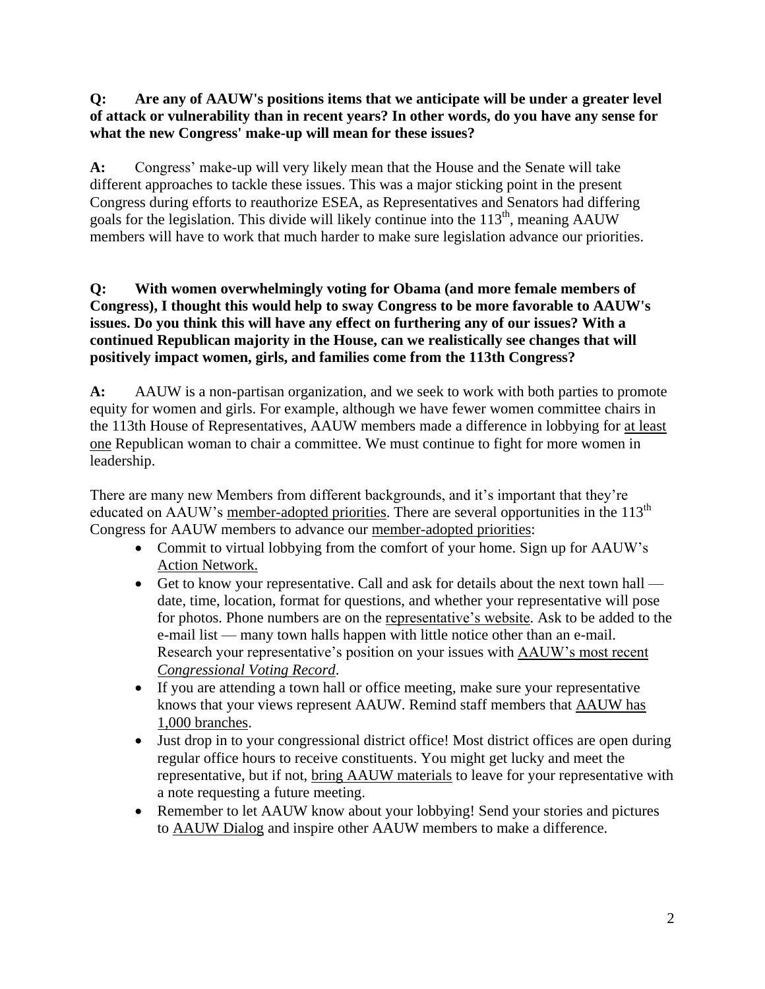### **Q: Are any of AAUW's positions items that we anticipate will be under a greater level of attack or vulnerability than in recent years? In other words, do you have any sense for what the new Congress' make-up will mean for these issues?**

**A:** Congress' make-up will very likely mean that the House and the Senate will take different approaches to tackle these issues. This was a major sticking point in the present Congress during efforts to reauthorize ESEA, as Representatives and Senators had differing goals for the legislation. This divide will likely continue into the  $113<sup>th</sup>$ , meaning AAUW members will have to work that much harder to make sure legislation advance our priorities.

### **Q: With women overwhelmingly voting for Obama (and more female members of Congress), I thought this would help to sway Congress to be more favorable to AAUW's issues. Do you think this will have any effect on furthering any of our issues? With a continued Republican majority in the House, can we realistically see changes that will positively impact women, girls, and families come from the 113th Congress?**

**A:** AAUW is a non-partisan organization, and we seek to work with both parties to promote equity for women and girls. For example, although we have fewer women committee chairs in the 113th House of Representatives, AAUW members made a difference in lobbying for [at least](http://capwiz.com/aauw/issues/alert/?alertid=62215151)  [one](http://capwiz.com/aauw/issues/alert/?alertid=62215151) Republican woman to chair a committee. We must continue to fight for more women in leadership.

There are many new Members from different backgrounds, and it's important that they're educated on AAUW's [member-adopted priorities.](http://www.aauw.org/act/issue_advocacy/principles_priorities.cfm#principles) There are several opportunities in the  $113<sup>th</sup>$ Congress for AAUW members to advance our [member-adopted priorities:](http://www.aauw.org/act/issue_advocacy/principles_priorities.cfm#principles)

- Commit to virtual lobbying from the comfort of your home. Sign up for AAUW's [Action Network.](http://www.aauw.org/act/issue_advocacy/actionpages/index.cfm)
- Get to know your representative. Call and ask for details about the next town hall date, time, location, format for questions, and whether your representative will pose for photos. Phone numbers are on the [representative's website.](http://house.gov/) Ask to be added to the e-mail list — many town halls happen with little notice other than an e-mail. Research your representative's position on your issues with [AAUW's most recent](http://www.aauwaction.org/VoterEd/cvr.htm)  *[Congressional Voting Record](http://www.aauwaction.org/VoterEd/cvr.htm)*.
- If you are attending a town hall or office meeting, make sure your representative knows that your views represent AAUW. Remind staff members that [AAUW has](http://www.aauw.org/about/)  [1,000 branches.](http://www.aauw.org/about/)
- Just drop in to your congressional district office! Most district offices are open during regular office hours to receive constituents. You might get lucky and meet the representative, but if not, [bring AAUW materials](http://www.aauw.org/act/issue_advocacy/actionpages/index.cfm) to leave for your representative with a note requesting a future meeting.
- Remember to let AAUW know about your lobbying! Send your stories and pictures to [AAUW Dialog](http://blog-aauw.org/2011/07/12/schools-should-serve-all-children-not-just-some/) and inspire other AAUW members to make a difference.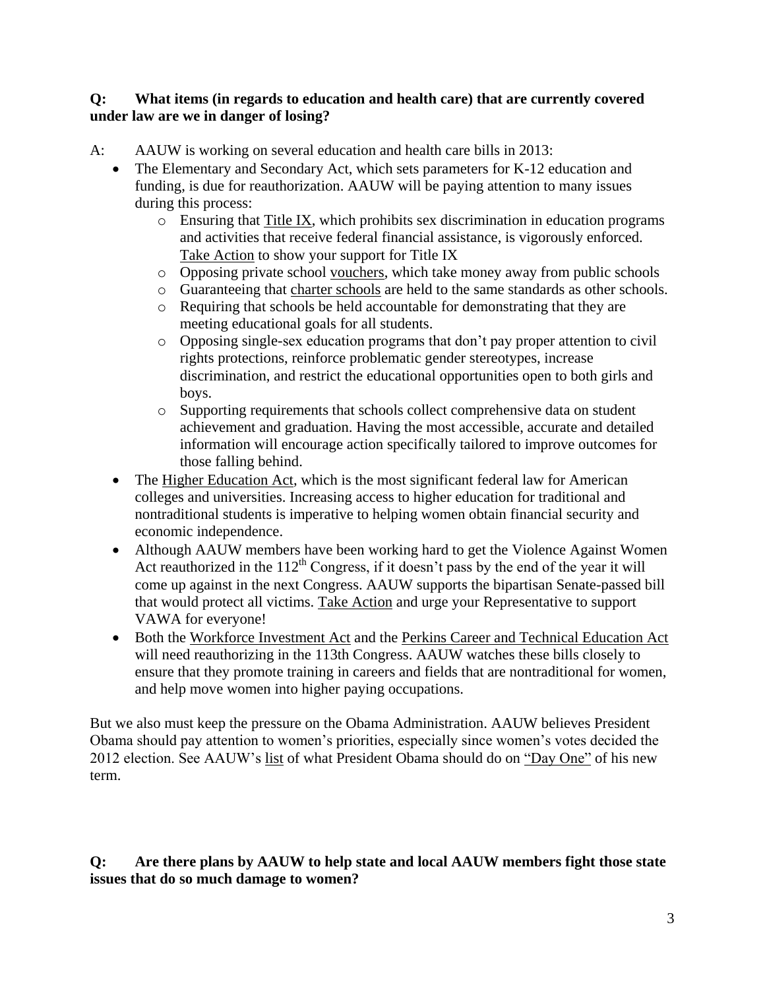#### **Q: What items (in regards to education and health care) that are currently covered under law are we in danger of losing?**

- A: AAUW is working on several education and health care bills in 2013:
	- The Elementary and Secondary Act, which sets parameters for K-12 education and funding, is due for reauthorization. AAUW will be paying attention to many issues during this process:
		- $\circ$  Ensuring that [Title IX,](http://www.aauw.org/act/issue_advocacy/actionpages/titleix.cfm) which prohibits sex discrimination in education programs and activities that receive federal financial assistance, is vigorously enforced. [Take Action](http://capwiz.com/aauw/issues/alert/?alertid=61576661) to show your support for Title IX
		- o Opposing private school [vouchers,](http://www.aauw.org/act/issue_advocacy/actionpages/vouchers.cfm) which take money away from public schools
		- o Guaranteeing that [charter schools](http://www.aauw.org/act/issue_advocacy/actionpages/nclb.cfm) are held to the same standards as other schools.
		- o Requiring that schools be held accountable for demonstrating that they are meeting educational goals for all students.
		- o Opposing single-sex education programs that don't pay proper attention to civil rights protections, reinforce problematic gender stereotypes, increase discrimination, and restrict the educational opportunities open to both girls and boys.
		- o Supporting requirements that schools collect comprehensive data on student achievement and graduation. Having the most accessible, accurate and detailed information will encourage action specifically tailored to improve outcomes for those falling behind.
	- The [Higher Education Act,](http://www.aauw.org/act/issue_advocacy/actionpages/hea.cfm) which is the most significant federal law for American colleges and universities. Increasing access to higher education for traditional and nontraditional students is imperative to helping women obtain financial security and economic independence.
	- Although AAUW members have been working hard to get the Violence Against Women Act reauthorized in the  $112<sup>th</sup>$  Congress, if it doesn't pass by the end of the year it will come up against in the next Congress. AAUW supports the bipartisan Senate-passed bill that would protect all victims. [Take Action](http://capwiz.com/aauw/callalert/index.tt?alertid=62191151) and urge your Representative to support VAWA for everyone!
	- Both the [Workforce Investment Act](http://www.aauw.org/act/issue_advocacy/actionpages/upload/WIA_H_040110.pdf) and the [Perkins Career and Technical Education Act](http://www.aauw.org/act/issue_advocacy/actionpages/perkins.cfm) will need reauthorizing in the 113th Congress. AAUW watches these bills closely to ensure that they promote training in careers and fields that are nontraditional for women, and help move women into higher paying occupations.

But we also must keep the pressure on the Obama Administration. AAUW believes President Obama should pay attention to women's priorities, especially since women's votes decided the 2012 election. See AAUW's [list](http://storify.com/AAUWPolicy/aauw-presents-dayone-to-do-list-for-president-and#publicize) of what President Obama should do on ["Day One"](http://blog-aauw.org/2012/11/12/aauw-compiles-dayone-to-do-list/) of his new term.

### **Q: Are there plans by AAUW to help state and local AAUW members fight those state issues that do so much damage to women?**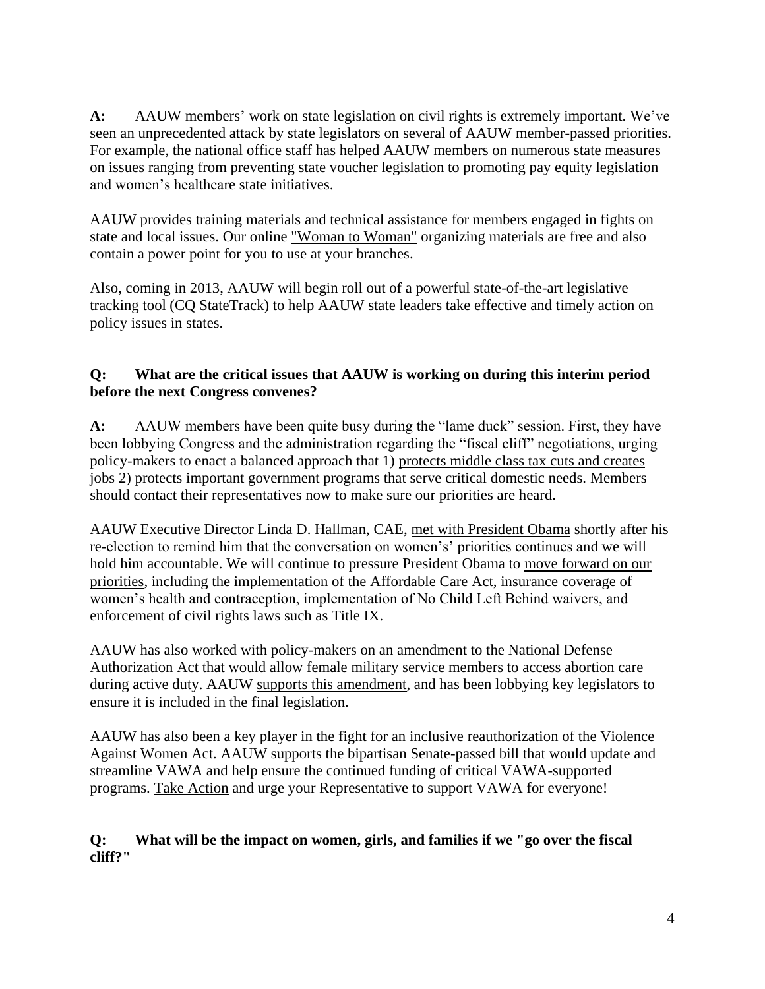**A:** AAUW members' work on state legislation on civil rights is extremely important. We've seen an unprecedented attack by state legislators on several of AAUW member-passed priorities. For example, the national office staff has helped AAUW members on numerous state measures on issues ranging from preventing state voucher legislation to promoting pay equity legislation and women's healthcare state initiatives.

AAUW provides training materials and technical assistance for members engaged in fights on state and local issues. Our online ["Woman to Woman"](http://www.aauw.org/act/issue_advocacy/voter_ed/WomantoWoman.cfm) organizing materials are free and also contain a power point for you to use at your branches.

Also, coming in 2013, AAUW will begin roll out of a powerful state-of-the-art legislative tracking tool (CQ StateTrack) to help AAUW state leaders take effective and timely action on policy issues in states.

# **Q: What are the critical issues that AAUW is working on during this interim period before the next Congress convenes?**

**A:** AAUW members have been quite busy during the "lame duck" session. First, they have been lobbying Congress and the administration regarding the "fiscal cliff" negotiations, urging policy-makers to enact a balanced approach that 1) [protects middle class tax cuts and creates](http://capwiz.com/aauw/issues/alert/?alertid=62217076)  [jobs](http://capwiz.com/aauw/issues/alert/?alertid=62217076) 2) [protects important government programs that serve critical domestic needs.](http://capwiz.com/aauw/issues/alert/?alertid=62246071) Members should contact their representatives now to make sure our priorities are heard.

AAUW Executive Director Linda D. Hallman, CAE, [met with President Obama](http://blog-aauw.org/2012/11/15/aauw-executive-director-meets-with-president-obama-advisers/) shortly after his re-election to remind him that the conversation on women's' priorities continues and we will hold him accountable. We will continue to pressure President Obama to [move forward on our](http://blog-aauw.org/2012/11/12/aauw-compiles-dayone-to-do-list/)  [priorities,](http://blog-aauw.org/2012/11/12/aauw-compiles-dayone-to-do-list/) including the implementation of the Affordable Care Act, insurance coverage of women's health and contraception, implementation of No Child Left Behind waivers, and enforcement of civil rights laws such as Title IX.

AAUW has also worked with policy-makers on an amendment to the National Defense Authorization Act that would allow female military service members to access abortion care during active duty. AAUW [supports this amendment,](http://www.aauw.org/act/issue_advocacy/actionpages/upload/AAUWLetterSenate_ServicewomanReproRights111711.pdf) and has been lobbying key legislators to ensure it is included in the final legislation.

AAUW has also been a key player in the fight for an inclusive reauthorization of the Violence Against Women Act. AAUW supports the bipartisan Senate-passed bill that would update and streamline VAWA and help ensure the continued funding of critical VAWA-supported programs. [Take Action](http://capwiz.com/aauw/callalert/index.tt?alertid=62191151) and urge your Representative to support VAWA for everyone!

### **Q: What will be the impact on women, girls, and families if we "go over the fiscal cliff?"**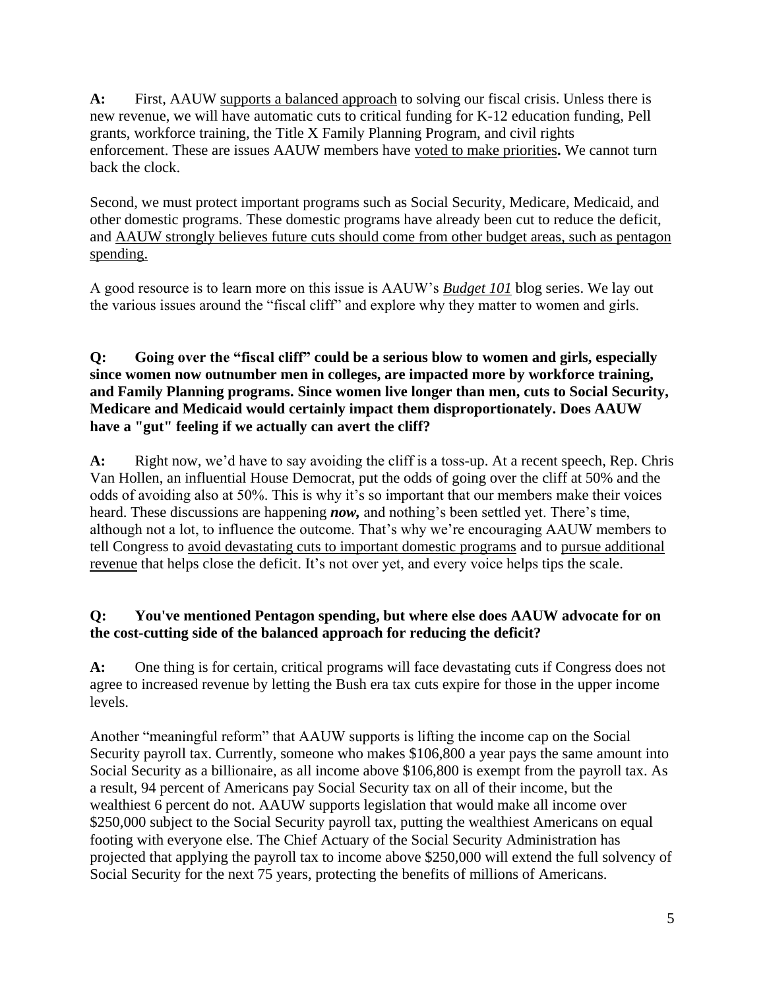**A:** First, AAUW [supports a balanced approach](http://capwiz.com/aauw/issues/alert/?alertid=62217076) to solving our fiscal crisis. Unless there is new revenue, we will have automatic cuts to critical funding for K-12 education funding, Pell grants, workforce training, the Title X Family Planning Program, and civil rights enforcement. These are issues AAUW members have [voted to make priorities](http://www.aauw.org/act/issue_advocacy/principles_priorities.cfm#principles)**.** We cannot turn back the clock.

Second, we must protect important programs such as Social Security, Medicare, Medicaid, and other domestic programs. These domestic programs have already been cut to reduce the deficit, and [AAUW strongly believes future cuts should come from other budget areas, such as pentagon](http://capwiz.com/aauw/issues/alert/?alertid=62246071)  [spending.](http://capwiz.com/aauw/issues/alert/?alertid=62246071)

A good resource is to learn more on this issue is AAUW's *[Budget 101](http://blog-aauw.org/?s=budget+101)* blog series. We lay out the various issues around the "fiscal cliff" and explore why they matter to women and girls.

### **Q: Going over the "fiscal cliff" could be a serious blow to women and girls, especially since women now outnumber men in colleges, are impacted more by workforce training, and Family Planning programs. Since women live longer than men, cuts to Social Security, Medicare and Medicaid would certainly impact them disproportionately. Does AAUW have a "gut" feeling if we actually can avert the cliff?**

A: Right now, we'd have to say avoiding the cliff is a toss-up. At a recent speech, Rep. Chris Van Hollen, an influential House Democrat, put the odds of going over the cliff at 50% and the odds of avoiding also at 50%. This is why it's so important that our members make their voices heard. These discussions are happening *now,* and nothing's been settled yet. There's time, although not a lot, to influence the outcome. That's why we're encouraging AAUW members to tell Congress to [avoid devastating cuts to important domestic programs](http://capwiz.com/aauw/issues/alert/?alertid=62246071) and to [pursue additional](http://capwiz.com/aauw/issues/alert/?alertid=62217076)  [revenue](http://capwiz.com/aauw/issues/alert/?alertid=62217076) that helps close the deficit. It's not over yet, and every voice helps tips the scale.

## **Q: You've mentioned Pentagon spending, but where else does AAUW advocate for on the cost-cutting side of the balanced approach for reducing the deficit?**

**A:** One thing is for certain, critical programs will face devastating cuts if Congress does not agree to increased revenue by letting the Bush era tax cuts expire for those in the upper income levels.

Another "meaningful reform" that AAUW supports is lifting the income cap on the Social Security payroll tax. Currently, someone who makes \$106,800 a year pays the same amount into Social Security as a billionaire, as all income above \$106,800 is exempt from the payroll tax. As a result, 94 percent of Americans pay Social Security tax on all of their income, but the wealthiest 6 percent do not. AAUW supports legislation that would make all income over \$250,000 subject to the Social Security payroll tax, putting the wealthiest Americans on equal footing with everyone else. The Chief Actuary of the Social Security Administration has projected that applying the payroll tax to income above \$250,000 will extend the full solvency of Social Security for the next 75 years, protecting the benefits of millions of Americans.